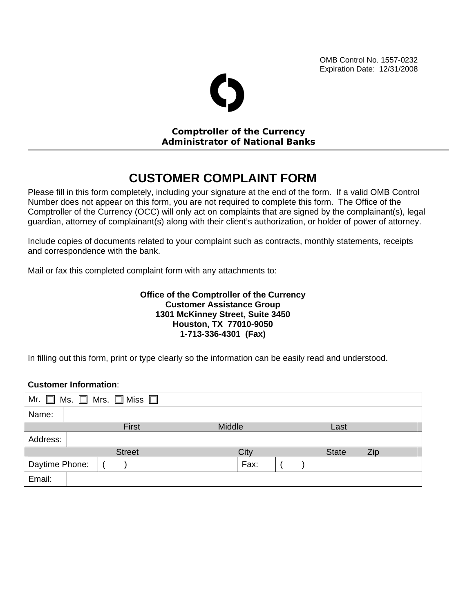OMB Control No. 1557-0232 Expiration Date: 12/31/2008

# O

#### **Comptroller of the Currency Administrator of National Banks**

## **CUSTOMER COMPLAINT FORM**

Please fill in this form completely, including your signature at the end of the form. If a valid OMB Control Number does not appear on this form, you are not required to complete this form. The Office of the Comptroller of the Currency (OCC) will only act on complaints that are signed by the complainant(s), legal guardian, attorney of complainant(s) along with their client's authorization, or holder of power of attorney.

Include copies of documents related to your complaint such as contracts, monthly statements, receipts and correspondence with the bank.

Mail or fax this completed complaint form with any attachments to:

#### **Office of the Comptroller of the Currency Customer Assistance Group 1301 McKinney Street, Suite 3450 Houston, TX 77010-9050 1-713-336-4301 (Fax)**

In filling out this form, print or type clearly so the information can be easily read and understood.

#### **Customer Information**:

| Mr. $\square$<br>Ms. $\Box$ Mrs. $\Box$ Miss $\Box$ |  |  |       |        |      |              |            |      |  |  |
|-----------------------------------------------------|--|--|-------|--------|------|--------------|------------|------|--|--|
| Name:                                               |  |  |       |        |      |              |            |      |  |  |
|                                                     |  |  | First | Middle |      |              |            | Last |  |  |
| Address:                                            |  |  |       |        |      |              |            |      |  |  |
| <b>Street</b>                                       |  |  | City  |        |      | <b>State</b> | <b>Zip</b> |      |  |  |
| Daytime Phone:                                      |  |  |       |        | Fax: |              |            |      |  |  |
| Email:                                              |  |  |       |        |      |              |            |      |  |  |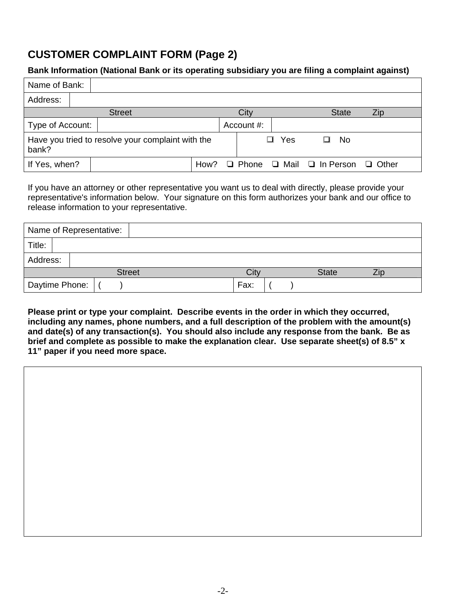## **CUSTOMER COMPLAINT FORM (Page 2)**

#### **Bank Information (National Bank or its operating subsidiary you are filing a complaint against)**

| Name of Bank:                                              |  |               |      |  |              |          |                    |              |  |
|------------------------------------------------------------|--|---------------|------|--|--------------|----------|--------------------|--------------|--|
| Address:                                                   |  |               |      |  |              |          |                    |              |  |
|                                                            |  | <b>Street</b> |      |  | City         |          | <b>State</b>       | Zip          |  |
| Type of Account:                                           |  |               |      |  | Account #:   |          |                    |              |  |
| Have you tried to resolve your complaint with the<br>bank? |  |               |      |  |              | Yes<br>ப | No.                |              |  |
| If Yes, when?                                              |  |               | How? |  | $\Box$ Phone |          | □ Mail □ In Person | $\Box$ Other |  |

If you have an attorney or other representative you want us to deal with directly, please provide your representative's information below. Your signature on this form authorizes your bank and our office to release information to your representative.

|          | Name of Representative: |      |              |  |
|----------|-------------------------|------|--------------|--|
| Title:   |                         |      |              |  |
| Address: |                         |      |              |  |
|          | <b>Street</b>           | Cit\ | <b>State</b> |  |
|          | Daytime Phone:          | Fax: |              |  |

**Please print or type your complaint. Describe events in the order in which they occurred, including any names, phone numbers, and a full description of the problem with the amount(s) and date(s) of any transaction(s). You should also include any response from the bank. Be as brief and complete as possible to make the explanation clear. Use separate sheet(s) of 8.5" x 11" paper if you need more space.**